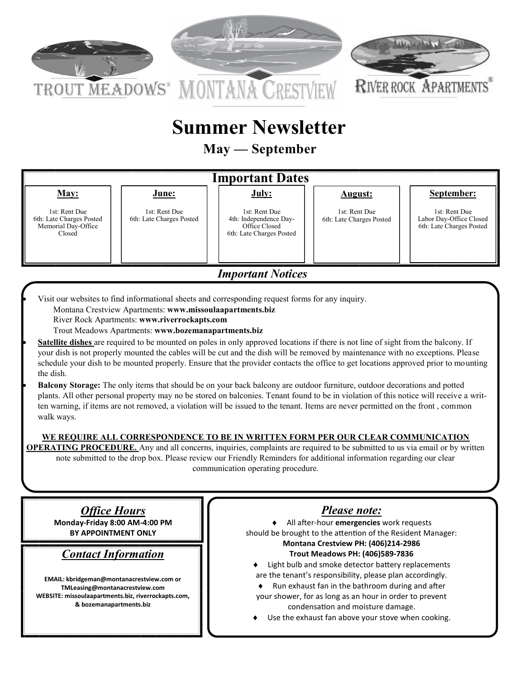

# **Summer Newsletter**

**May — September** 

#### **Important Dates May:**  1st: Rent Due 6th: Late Charges Posted Memorial Day-Office Closed **June:** 1st: Rent Due 6th: Late Charges Posted **July:** 1st: Rent Due 4th: Independence Day-Office Closed 6th: Late Charges Posted **August:**  1st: Rent Due 6th: Late Charges Posted **September:** 1st: Rent Due Labor Day-Office Closed 6th: Late Charges Posted

*Important Notices*

• Visit our websites to find informational sheets and corresponding request forms for any inquiry.

Montana Crestview Apartments: **www.missoulaapartments.biz**

River Rock Apartments: **www.riverrockapts.com**

Trout Meadows Apartments: **www.bozemanapartments.biz**

- **Satellite dishes** are required to be mounted on poles in only approved locations if there is not line of sight from the balcony. If your dish is not properly mounted the cables will be cut and the dish will be removed by maintenance with no exceptions. Please schedule your dish to be mounted properly. Ensure that the provider contacts the office to get locations approved prior to mounting the dish.
- **Balcony Storage:** The only items that should be on your back balcony are outdoor furniture, outdoor decorations and potted plants. All other personal property may no be stored on balconies. Tenant found to be in violation of this notice will receive a written warning, if items are not removed, a violation will be issued to the tenant. Items are never permitted on the front , common walk ways.

### **WE REQUIRE ALL CORRESPONDENCE TO BE IN WRITTEN FORM PER OUR CLEAR COMMUNICATION**

**OPERATING PROCEDURE.** Any and all concerns, inquiries, complaints are required to be submitted to us via email or by written note submitted to the drop box. Please review our Friendly Reminders for additional information regarding our clear communication operating procedure.

*Office Hours* **Monday-Friday 8:00 AM-4:00 PM BY APPOINTMENT ONLY** 

# *Contact Information*

**EMAIL: kbridgeman@montanacrestview.com or TMLeasing@montanacrestview.com WEBSITE: missoulaapartments.biz, riverrockapts.com, & bozemanapartments.biz**

# *Please note:*

 All after-hour **emergencies** work requests should be brought to the attention of the Resident Manager: **Montana Crestview PH: (406)214-2986 Trout Meadows PH: (406)589-7836**

- ♦ Light bulb and smoke detector battery replacements are the tenant's responsibility, please plan accordingly.
- $\bullet$  Run exhaust fan in the bathroom during and after your shower, for as long as an hour in order to prevent condensation and moisture damage.
- Use the exhaust fan above your stove when cooking.